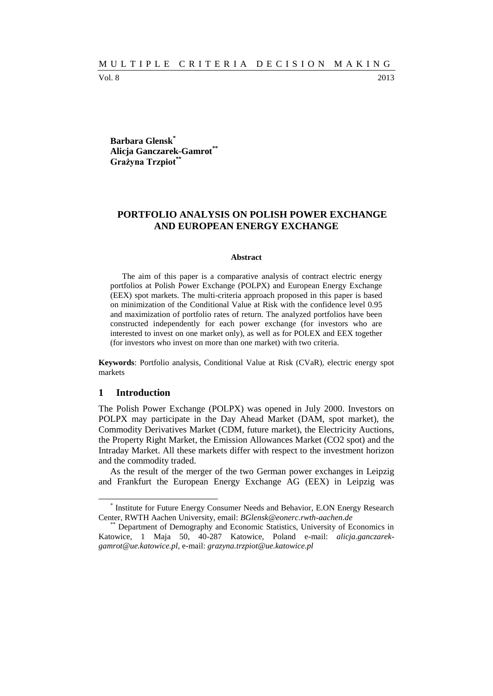Vol. 8 2013

**Barbara Glensk\* Alicja Ganczarek-Gamrot\*\* Grażyna Trzpiot\*\***

## **PORTFOLIO ANALYSIS ON POLISH POWER EXCHANGE AND EUROPEAN ENERGY EXCHANGE**

#### **Abstract**

The aim of this paper is a comparative analysis of contract electric energy portfolios at Polish Power Exchange (POLPX) and European Energy Exchange (EEX) spot markets. The multi-criteria approach proposed in this paper is based on minimization of the Conditional Value at Risk with the confidence level 0.95 and maximization of portfolio rates of return. The analyzed portfolios have been constructed independently for each power exchange (for investors who are interested to invest on one market only), as well as for POLEX and EEX together (for investors who invest on more than one market) with two criteria.

**Keywords**: Portfolio analysis, Conditional Value at Risk (CVaR), electric energy spot markets

### **1 Introduction**

l

The Polish Power Exchange (POLPX) was opened in July 2000. Investors on POLPX may participate in the Day Ahead Market (DAM, spot market), the Commodity Derivatives Market (CDM, future market), the Electricity Auctions, the Property Right Market, the Emission Allowances Market (CO2 spot) and the Intraday Market. All these markets differ with respect to the investment horizon and the commodity traded.

As the result of the merger of the two German power exchanges in Leipzig and Frankfurt the European Energy Exchange AG (EEX) in Leipzig was

<sup>\*</sup> Institute for Future Energy Consumer Needs and Behavior, E.ON Energy Research Center, RWTH Aachen University, email: *BGlensk@eonerc.rwth-aachen.de*

<sup>\*\*</sup> Department of Demography and Economic Statistics, University of Economics in Katowice, 1 Maja 50, 40-287 Katowice, Poland e-mail: *alicja.ganczarekgamrot@ue.katowice.pl,* e-mail: *grazyna.trzpiot@ue.katowice.pl*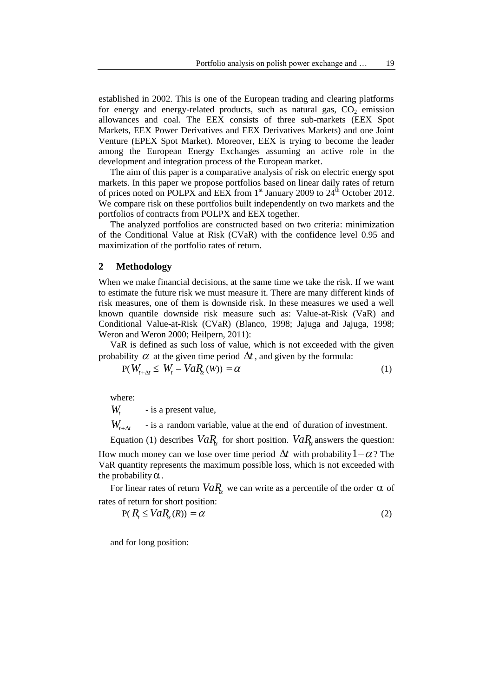established in 2002. This is one of the European trading and clearing platforms for energy and energy-related products, such as natural gas,  $CO<sub>2</sub>$  emission allowances and coal. The EEX consists of three sub-markets (EEX Spot Markets, EEX Power Derivatives and EEX Derivatives Markets) and one Joint Venture (EPEX Spot Market). Moreover, EEX is trying to become the leader among the European Energy Exchanges assuming an active role in the development and integration process of the European market.

The aim of this paper is a comparative analysis of risk on electric energy spot markets. In this paper we propose portfolios based on linear daily rates of return of prices noted on POLPX and EEX from  $1<sup>st</sup>$  January 2009 to  $24<sup>th</sup>$  October 2012. We compare risk on these portfolios built independently on two markets and the portfolios of contracts from POLPX and EEX together.

The analyzed portfolios are constructed based on two criteria: minimization of the Conditional Value at Risk (CVaR) with the confidence level 0.95 and maximization of the portfolio rates of return.

#### **2 Methodology**

When we make financial decisions, at the same time we take the risk. If we want to estimate the future risk we must measure it. There are many different kinds of risk measures, one of them is downside risk. In these measures we used a well known quantile downside risk measure such as: Value-at-Risk (VaR) and Conditional Value-at-Risk (CVaR) (Blanco, 1998; Jajuga and Jajuga, 1998; Weron and Weron 2000; Heilpern, 2011):

VaR is defined as such loss of value, which is not exceeded with the given probability  $\alpha$  at the given time period  $\Delta t$ , and given by the formula:

$$
P(W_{t+\Delta t} \le W_t - VaR_{\alpha}(W)) = \alpha \tag{1}
$$

where:

*Wt* - is a present value,

 $W_{t+\Delta t}$ - is a random variable, value at the end of duration of investment.

Equation (1) describes  $VaR<sub>\alpha</sub>$  for short position.  $VaR<sub>\alpha</sub>$  answers the question: How much money can we lose over time period  $\Delta t$  with probability  $1-\alpha$ ? The VaR quantity represents the maximum possible loss, which is not exceeded with the probability  $\alpha$ .

For linear rates of return  $VaR_1$  we can write as a percentile of the order  $\alpha$  of rates of return for short position:

$$
P(R_t \le VaR_\alpha(R)) = \alpha \tag{2}
$$

and for long position: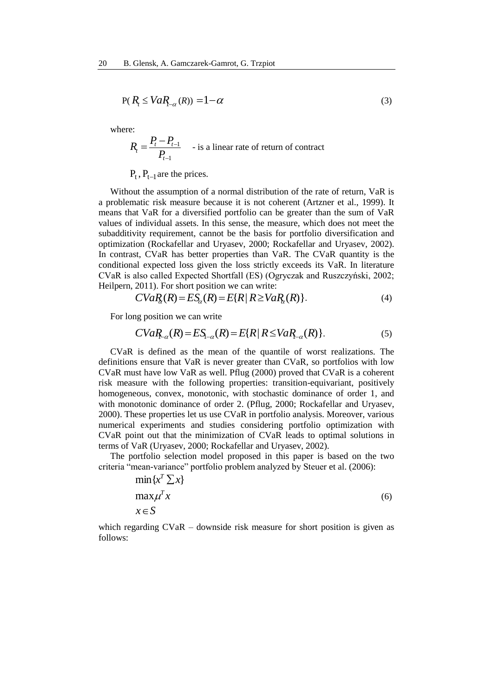$$
P(R_t \le VaR_{-\alpha}(R)) = 1 - \alpha \tag{3}
$$

where:

$$
R_{t} = \frac{P_{t} - P_{t-1}}{P_{t-1}}
$$
 - is a linear rate of return of contract

 $P_t$ ,  $P_{t-1}$  are the prices.

Without the assumption of a normal distribution of the rate of return, VaR is a problematic risk measure because it is not coherent (Artzner et al., 1999). It means that VaR for a diversified portfolio can be greater than the sum of VaR values of individual assets. In this sense, the measure, which does not meet the subadditivity requirement, cannot be the basis for portfolio diversification and optimization (Rockafellar and Uryasev, 2000; Rockafellar and Uryasev, 2002). In contrast, CVaR has better properties than VaR. The CVaR quantity is the conditional expected loss given the loss strictly exceeds its VaR. In literature CVaR is also called Expected Shortfall (ES) (Ogryczak and Ruszczyński, 2002; Heilpern, 2011). For short position we can write:

$$
CVaR_{\alpha}(R) = ES_{\alpha}(R) = E\{R \mid R \ge VaR_{\alpha}(R)\}.
$$
\n(4)

For long position we can write

$$
CVaR_{-\alpha}(R) = ES_{-\alpha}(R) = E\{R \mid R \le VaR_{-\alpha}(R)\}.
$$
 (5)

CVaR is defined as the mean of the quantile of worst realizations. The definitions ensure that VaR is never greater than CVaR, so portfolios with low CVaR must have low VaR as well. Pflug (2000) proved that CVaR is a coherent risk measure with the following properties: transition-equivariant, positively homogeneous, convex, monotonic, with stochastic dominance of order 1, and with monotonic dominance of order 2. (Pflug, 2000; Rockafellar and Uryasev, 2000). These properties let us use CVaR in portfolio analysis. Moreover, various numerical experiments and studies considering portfolio optimization with CVaR point out that the minimization of CVaR leads to optimal solutions in terms of VaR (Uryasev, 2000; Rockafellar and Uryasev, 2002).

The portfolio selection model proposed in this paper is based on the two criteria "mean-variance" portfolio problem analyzed by Steuer et al. (2006):

$$
\min\{x^T \sum x\}
$$
  
\n
$$
\max \mu^T x
$$
  
\n
$$
x \in S
$$
\n(6)

which regarding CVaR – downside risk measure for short position is given as follows: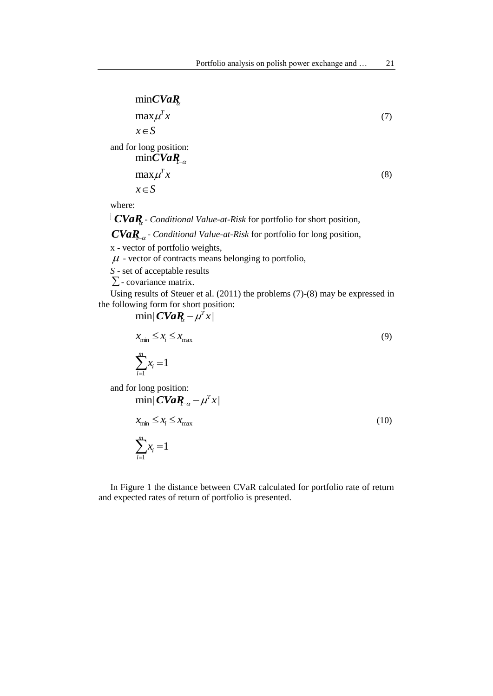# min*CVaR*

 $x \in S$  $max \mu^T x$ (7) and for long position:  $x \in S$  $\max \mu^T x$ min $CVaR_{-\alpha}$ (8)

where:

*CVaR*<sub>c</sub> *Conditional Value-at-Risk* for portfolio for short position,

 $CVaR_{\alpha}$  - *Conditional Value-at-Risk* for portfolio for long position,

x - vector of portfolio weights,

 $\mu$  - vector of contracts means belonging to portfolio,

*S* - set of acceptable results

 $\Sigma$ - covariance matrix.

Using results of Steuer et al. (2011) the problems (7)-(8) may be expressed in the following form for short position:

$$
\min |CVaR_{i} - \mu^{T} x|
$$
  

$$
x_{\min} \le x_{i} \le x_{\max}
$$
  

$$
\sum_{i=1}^{m} x_{i} = 1
$$
 (9)

and for long position:  $\min |\textit{CVaR}_{-\alpha} - \mu^T x|$ 

$$
x_{\min} \le x_i \le x_{\max}
$$
  

$$
\sum_{i=1}^{m} x_i = 1
$$
 (10)

In Figure 1 the distance between CVaR calculated for portfolio rate of return and expected rates of return of portfolio is presented.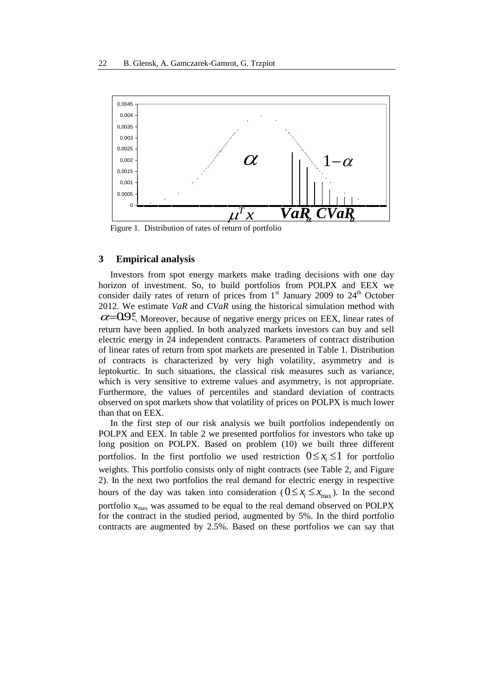

Figure 1. Distribution of rates of return of portfolio

### **3 Empirical analysis**

Investors from spot energy markets make trading decisions with one day horizon of investment. So, to build portfolios from POLPX and EEX we consider daily rates of return of prices from  $1<sup>st</sup>$  January 2009 to  $24<sup>th</sup>$  October 2012. We estimate *VaR* and *CVaR* using the historical simulation method with  $\alpha$ = $Q95$ . Moreover, because of negative energy prices on EEX, linear rates of return have been applied. In both analyzed markets investors can buy and sell electric energy in 24 independent contracts. Parameters of contract distribution of linear rates of return from spot markets are presented in Table 1. Distribution of contracts is characterized by very high volatility, asymmetry and is leptokurtic. In such situations, the classical risk measures such as variance, which is very sensitive to extreme values and asymmetry, is not appropriate. Furthermore, the values of percentiles and standard deviation of contracts observed on spot markets show that volatility of prices on POLPX is much lower than that on EEX.

In the first step of our risk analysis we built portfolios independently on POLPX and EEX. In table 2 we presented portfolios for investors who take up long position on POLPX. Based on problem (10) we built three different portfolios. In the first portfolio we used restriction  $0 \leq x_i \leq 1$  for portfolio weights. This portfolio consists only of night contracts (see Table 2, and Figure 2). In the next two portfolios the real demand for electric energy in respective hours of the day was taken into consideration ( $0 \le x_i \le x_{max}$ ). In the second portfolio  $x_{max}$  was assumed to be equal to the real demand observed on POLPX for the contract in the studied period, augmented by 5%. In the third portfolio contracts are augmented by 2.5%. Based on these portfolios we can say that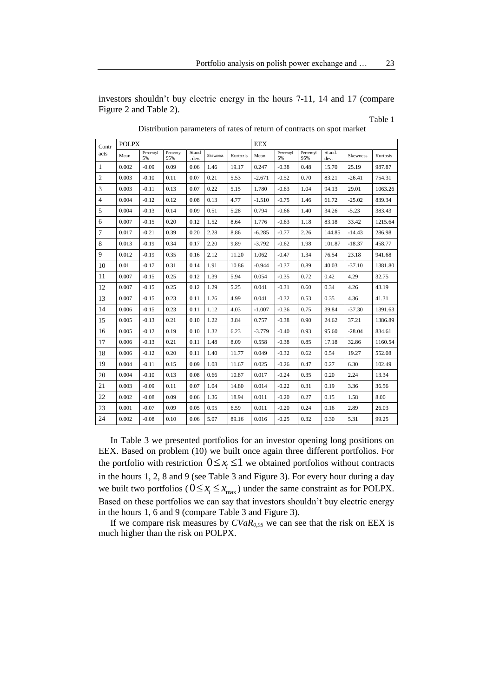investors shouldn't buy electric energy in the hours 7-11, 14 and 17 (compare Figure 2 and Table 2).

Table 1

| Contr          | <b>POLPX</b> |                 |                  |                 |          |          | <b>EEX</b> |                 |                  |                |                 |          |
|----------------|--------------|-----------------|------------------|-----------------|----------|----------|------------|-----------------|------------------|----------------|-----------------|----------|
| acts           | Mean         | Percentyl<br>5% | Percentyl<br>95% | Stand<br>. dev. | Skewness | Kurtozis | Mean       | Percentyl<br>5% | Percentyl<br>95% | Stand.<br>dev. | <b>Skewness</b> | Kurtosis |
| 1              | 0.002        | $-0.09$         | 0.09             | 0.06            | 1.46     | 19.17    | 0.247      | $-0.38$         | 0.48             | 15.70          | 25.19           | 987.87   |
| $\overline{2}$ | 0.003        | $-0.10$         | 0.11             | 0.07            | 0.21     | 5.53     | $-2.671$   | $-0.52$         | 0.70             | 83.21          | $-26.41$        | 754.31   |
| 3              | 0.003        | $-0.11$         | 0.13             | 0.07            | 0.22     | 5.15     | 1.780      | $-0.63$         | 1.04             | 94.13          | 29.01           | 1063.26  |
| $\overline{4}$ | 0.004        | $-0.12$         | 0.12             | 0.08            | 0.13     | 4.77     | $-1.510$   | $-0.75$         | 1.46             | 61.72          | $-25.02$        | 839.34   |
| 5              | 0.004        | $-0.13$         | 0.14             | 0.09            | 0.51     | 5.28     | 0.794      | $-0.66$         | 1.40             | 34.26          | $-5.23$         | 383.43   |
| 6              | 0.007        | $-0.15$         | 0.20             | 0.12            | 1.52     | 8.64     | 1.776      | $-0.63$         | 1.18             | 83.18          | 33.42           | 1215.64  |
| $\tau$         | 0.017        | $-0.21$         | 0.39             | 0.20            | 2.28     | 8.86     | $-6.285$   | $-0.77$         | 2.26             | 144.85         | $-14.43$        | 286.98   |
| 8              | 0.013        | $-0.19$         | 0.34             | 0.17            | 2.20     | 9.89     | $-3.792$   | $-0.62$         | 1.98             | 101.87         | $-18.37$        | 458.77   |
| 9              | 0.012        | $-0.19$         | 0.35             | 0.16            | 2.12     | 11.20    | 1.062      | $-0.47$         | 1.34             | 76.54          | 23.18           | 941.68   |
| 10             | 0.01         | $-0.17$         | 0.31             | 0.14            | 1.91     | 10.86    | $-0.944$   | $-0.37$         | 0.89             | 40.03          | $-37.10$        | 1381.80  |
| 11             | 0.007        | $-0.15$         | 0.25             | 0.12            | 1.39     | 5.94     | 0.054      | $-0.35$         | 0.72             | 0.42           | 4.29            | 32.75    |
| 12             | 0.007        | $-0.15$         | 0.25             | 0.12            | 1.29     | 5.25     | 0.041      | $-0.31$         | 0.60             | 0.34           | 4.26            | 43.19    |
| 13             | 0.007        | $-0.15$         | 0.23             | 0.11            | 1.26     | 4.99     | 0.041      | $-0.32$         | 0.53             | 0.35           | 4.36            | 41.31    |
| 14             | 0.006        | $-0.15$         | 0.23             | 0.11            | 1.12     | 4.03     | $-1.007$   | $-0.36$         | 0.75             | 39.84          | $-37.30$        | 1391.63  |
| 15             | 0.005        | $-0.13$         | 0.21             | 0.10            | 1.22     | 3.84     | 0.757      | $-0.38$         | 0.90             | 24.62          | 37.21           | 1386.89  |
| 16             | 0.005        | $-0.12$         | 0.19             | 0.10            | 1.32     | 6.23     | $-3.779$   | $-0.40$         | 0.93             | 95.60          | $-28.04$        | 834.61   |
| 17             | 0.006        | $-0.13$         | 0.21             | 0.11            | 1.48     | 8.09     | 0.558      | $-0.38$         | 0.85             | 17.18          | 32.86           | 1160.54  |
| 18             | 0.006        | $-0.12$         | 0.20             | 0.11            | 1.40     | 11.77    | 0.049      | $-0.32$         | 0.62             | 0.54           | 19.27           | 552.08   |
| 19             | 0.004        | $-0.11$         | 0.15             | 0.09            | 1.08     | 11.67    | 0.025      | $-0.26$         | 0.47             | 0.27           | 6.30            | 102.49   |
| 20             | 0.004        | $-0.10$         | 0.13             | 0.08            | 0.66     | 10.87    | 0.017      | $-0.24$         | 0.35             | 0.20           | 2.24            | 13.34    |
| 21             | 0.003        | $-0.09$         | 0.11             | 0.07            | 1.04     | 14.80    | 0.014      | $-0.22$         | 0.31             | 0.19           | 3.36            | 36.56    |
| 22             | 0.002        | $-0.08$         | 0.09             | 0.06            | 1.36     | 18.94    | 0.011      | $-0.20$         | 0.27             | 0.15           | 1.58            | 8.00     |
| 23             | 0.001        | $-0.07$         | 0.09             | 0.05            | 0.95     | 6.59     | 0.011      | $-0.20$         | 0.24             | 0.16           | 2.89            | 26.03    |
| 24             | 0.002        | $-0.08$         | 0.10             | 0.06            | 5.07     | 89.16    | 0.016      | $-0.25$         | 0.32             | 0.30           | 5.31            | 99.25    |

Distribution parameters of rates of return of contracts on spot market

In Table 3 we presented portfolios for an investor opening long positions on EEX. Based on problem (10) we built once again three different portfolios. For the portfolio with restriction  $0 \leq x_i \leq 1$  we obtained portfolios without contracts in the hours 1, 2, 8 and 9 (see Table 3 and Figure 3). For every hour during a day we built two portfolios ( $0 \le x_i \le x_{max}$ ) under the same constraint as for POLPX. Based on these portfolios we can say that investors shouldn't buy electric energy in the hours 1, 6 and 9 (compare Table 3 and Figure 3).

If we compare risk measures by  $CVaR<sub>0.95</sub>$  we can see that the risk on EEX is much higher than the risk on POLPX.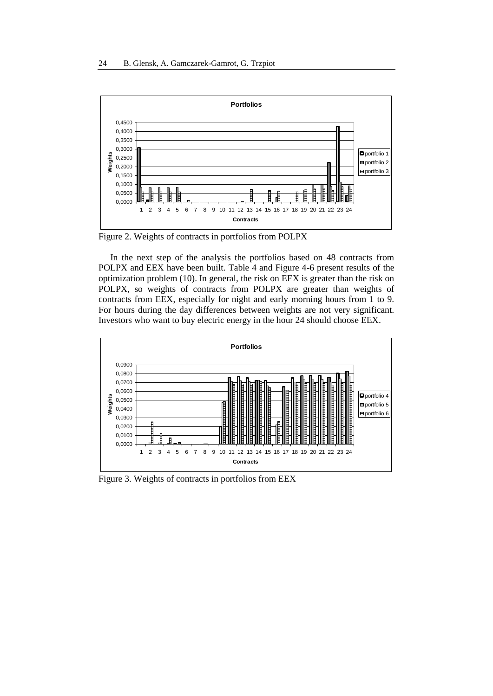

Figure 2. Weights of contracts in portfolios from POLPX

In the next step of the analysis the portfolios based on 48 contracts from POLPX and EEX have been built. Table 4 and Figure 4-6 present results of the optimization problem (10). In general, the risk on EEX is greater than the risk on POLPX, so weights of contracts from POLPX are greater than weights of contracts from EEX, especially for night and early morning hours from 1 to 9. For hours during the day differences between weights are not very significant. Investors who want to buy electric energy in the hour 24 should choose EEX.



Figure 3. Weights of contracts in portfolios from EEX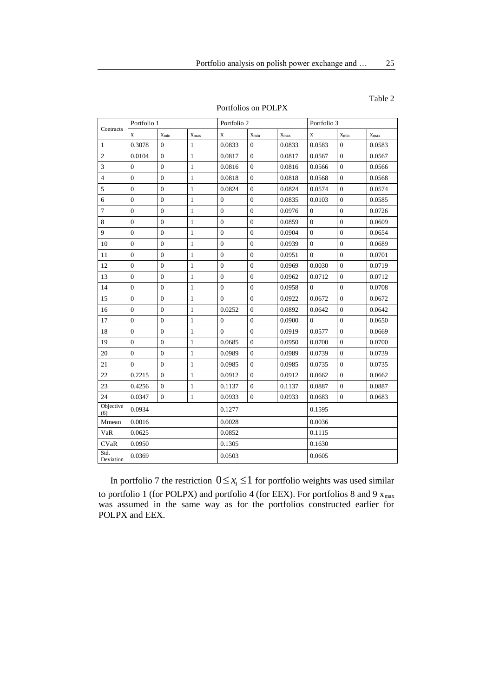Table 2

| Portfolios on POLPX |  |
|---------------------|--|
|---------------------|--|

| Contracts         | Portfolio 1      |                  |              | Portfolio 2      |                  |           | Portfolio 3  |                  |           |  |
|-------------------|------------------|------------------|--------------|------------------|------------------|-----------|--------------|------------------|-----------|--|
|                   | $\mathbf X$      | $X_{min}$        | $X_{max}$    | $\mathbf x$      | $X_{min}$        | $X_{max}$ | $\mathbf X$  | $X_{min}$        | $X_{max}$ |  |
| $\mathbf{1}$      | 0.3078           | $\Omega$         | $\mathbf{1}$ | 0.0833           | $\Omega$         | 0.0833    | 0.0583       | $\Omega$         | 0.0583    |  |
| $\overline{2}$    | 0.0104           | $\overline{0}$   | $\mathbf{1}$ | 0.0817           | $\overline{0}$   | 0.0817    | 0.0567       | $\Omega$         | 0.0567    |  |
| 3                 | $\overline{0}$   | $\overline{0}$   | $\mathbf{1}$ | 0.0816           | $\Omega$         | 0.0816    | 0.0566       | $\mathbf{0}$     | 0.0566    |  |
| 4                 | $\overline{0}$   | $\mathbf{0}$     | $\mathbf{1}$ | 0.0818           | $\mathbf{0}$     | 0.0818    | 0.0568       | $\mathbf{0}$     | 0.0568    |  |
| 5                 | $\overline{0}$   | $\overline{0}$   | $\mathbf{1}$ | 0.0824           | $\overline{0}$   | 0.0824    | 0.0574       | $\theta$         | 0.0574    |  |
| 6                 | $\overline{0}$   | $\overline{0}$   | $\mathbf{1}$ | $\mathbf{0}$     | $\mathbf{0}$     | 0.0835    | 0.0103       | $\overline{0}$   | 0.0585    |  |
| $\tau$            | $\boldsymbol{0}$ | $\boldsymbol{0}$ | $\mathbf{1}$ | $\boldsymbol{0}$ | $\overline{0}$   | 0.0976    | $\mathbf{0}$ | $\overline{0}$   | 0.0726    |  |
| 8                 | $\overline{0}$   | $\overline{0}$   | $\mathbf{1}$ | $\overline{0}$   | $\mathbf{0}$     | 0.0859    | $\mathbf{0}$ | $\overline{0}$   | 0.0609    |  |
| 9                 | $\boldsymbol{0}$ | $\boldsymbol{0}$ | $\mathbf{1}$ | $\boldsymbol{0}$ | $\boldsymbol{0}$ | 0.0904    | $\mathbf{0}$ | $\boldsymbol{0}$ | 0.0654    |  |
| 10                | $\overline{0}$   | $\mathbf{0}$     | $\mathbf{1}$ | $\overline{0}$   | $\mathbf{0}$     | 0.0939    | $\mathbf{0}$ | $\overline{0}$   | 0.0689    |  |
| 11                | $\overline{0}$   | $\overline{0}$   | $\mathbf{1}$ | $\overline{0}$   | $\overline{0}$   | 0.0951    | $\Omega$     | $\overline{0}$   | 0.0701    |  |
| 12                | $\overline{0}$   | $\boldsymbol{0}$ | $\mathbf{1}$ | $\boldsymbol{0}$ | $\overline{0}$   | 0.0969    | 0.0030       | $\overline{0}$   | 0.0719    |  |
| 13                | $\overline{0}$   | $\overline{0}$   | $\mathbf{1}$ | $\overline{0}$   | $\overline{0}$   | 0.0962    | 0.0712       | $\theta$         | 0.0712    |  |
| 14                | $\overline{0}$   | $\boldsymbol{0}$ | $\mathbf{1}$ | $\overline{0}$   | $\overline{0}$   | 0.0958    | $\Omega$     | $\overline{0}$   | 0.0708    |  |
| 15                | $\boldsymbol{0}$ | $\boldsymbol{0}$ | $\mathbf{1}$ | $\overline{0}$   | $\boldsymbol{0}$ | 0.0922    | 0.0672       | $\mathbf{0}$     | 0.0672    |  |
| 16                | $\overline{0}$   | $\boldsymbol{0}$ | $\mathbf{1}$ | 0.0252           | $\mathbf{0}$     | 0.0892    | 0.0642       | $\mathbf{0}$     | 0.0642    |  |
| 17                | $\overline{0}$   | $\mathbf{0}$     | $\mathbf{1}$ | $\overline{0}$   | $\mathbf{0}$     | 0.0900    | $\Omega$     | $\overline{0}$   | 0.0650    |  |
| 18                | $\boldsymbol{0}$ | $\boldsymbol{0}$ | $\mathbf{1}$ | $\overline{0}$   | $\overline{0}$   | 0.0919    | 0.0577       | $\overline{0}$   | 0.0669    |  |
| 19                | $\overline{0}$   | $\overline{0}$   | $\mathbf{1}$ | 0.0685           | $\mathbf{0}$     | 0.0950    | 0.0700       | $\overline{0}$   | 0.0700    |  |
| 20                | $\overline{0}$   | $\overline{0}$   | $\mathbf{1}$ | 0.0989           | $\Omega$         | 0.0989    | 0.0739       | $\theta$         | 0.0739    |  |
| 21                | $\overline{0}$   | $\boldsymbol{0}$ | $\mathbf{1}$ | 0.0985           | $\overline{0}$   | 0.0985    | 0.0735       | $\overline{0}$   | 0.0735    |  |
| 22                | 0.2215           | $\boldsymbol{0}$ | $\mathbf{1}$ | 0.0912           | $\mathbf{0}$     | 0.0912    | 0.0662       | $\mathbf{0}$     | 0.0662    |  |
| 23                | 0.4256           | $\overline{0}$   | $\mathbf{1}$ | 0.1137           | $\mathbf{0}$     | 0.1137    | 0.0887       | $\mathbf{0}$     | 0.0887    |  |
| 24                | 0.0347           | $\overline{0}$   | $\mathbf{1}$ | 0.0933           | $\overline{0}$   | 0.0933    | 0.0683       | $\overline{0}$   | 0.0683    |  |
| Objective<br>(6)  | 0.0934           |                  |              | 0.1277           |                  |           | 0.1595       |                  |           |  |
| Mmean             | 0.0016           |                  |              | 0.0028           |                  |           | 0.0036       |                  |           |  |
| VaR               | 0.0625           |                  |              | 0.0852           |                  |           |              | 0.1115           |           |  |
| <b>CVaR</b>       | 0.0950           |                  |              | 0.1305           |                  |           | 0.1630       |                  |           |  |
| Std.<br>Deviation | 0.0369           |                  |              | 0.0503           |                  |           | 0.0605       |                  |           |  |

In portfolio 7 the restriction  $0 \le x_i \le 1$  for portfolio weights was used similar to portfolio 1 (for POLPX) and portfolio 4 (for EEX). For portfolios 8 and 9  $x_{max}$ was assumed in the same way as for the portfolios constructed earlier for POLPX and EEX.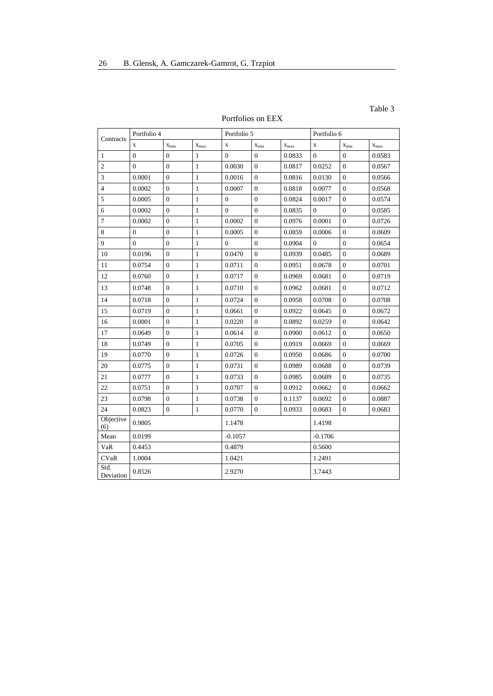### Table 3

### Portfolios on EEX

|                   | Portfolio 4    |                  |                     | Portfolio 5    |                |           | Portfolio 6    |                |                     |  |
|-------------------|----------------|------------------|---------------------|----------------|----------------|-----------|----------------|----------------|---------------------|--|
| Contracts         | $\mathbf x$    | $X_{\min}$       | $\mathbf{x}_{\max}$ | $\mathbf X$    | $X_{min}$      | $X_{max}$ | $\mathbf X$    | $X_{min}$      | $\mathbf{x}_{\max}$ |  |
| 1                 | $\mathbf{0}$   | $\mathbf{0}$     | $\mathbf{1}$        | $\mathbf{0}$   | $\overline{0}$ | 0.0833    | $\overline{0}$ | $\overline{0}$ | 0.0583              |  |
| $\overline{c}$    | $\overline{0}$ | $\overline{0}$   | $\mathbf{1}$        | 0.0030         | $\overline{0}$ | 0.0817    | 0.0252         | $\overline{0}$ | 0.0567              |  |
| 3                 | 0.0001         | $\mathbf{0}$     | $\mathbf{1}$        | 0.0016         | $\overline{0}$ | 0.0816    | 0.0130         | $\overline{0}$ | 0.0566              |  |
| $\overline{4}$    | 0.0002         | $\overline{0}$   | $\mathbf{1}$        | 0.0007         | $\overline{0}$ | 0.0818    | 0.0077         | $\overline{0}$ | 0.0568              |  |
| 5                 | 0.0005         | $\overline{0}$   | $\mathbf{1}$        | $\mathbf{0}$   | $\overline{0}$ | 0.0824    | 0.0017         | $\Omega$       | 0.0574              |  |
| 6                 | 0.0002         | $\boldsymbol{0}$ | $\mathbf{1}$        | $\overline{0}$ | $\overline{0}$ | 0.0835    | $\overline{0}$ | $\overline{0}$ | 0.0585              |  |
| $\tau$            | 0.0002         | $\mathbf{0}$     | $\mathbf{1}$        | 0.0002         | $\mathbf{0}$   | 0.0976    | 0.0001         | $\overline{0}$ | 0.0726              |  |
| 8                 | $\mathbf{0}$   | $\overline{0}$   | $\mathbf{1}$        | 0.0005         | $\overline{0}$ | 0.0859    | 0.0006         | $\overline{0}$ | 0.0609              |  |
| 9                 | $\Omega$       | $\Omega$         | $\mathbf{1}$        | $\Omega$       | $\theta$       | 0.0904    | $\theta$       | $\Omega$       | 0.0654              |  |
| 10                | 0.0196         | $\boldsymbol{0}$ | $\mathbf{1}$        | 0.0470         | $\overline{0}$ | 0.0939    | 0.0485         | $\overline{0}$ | 0.0689              |  |
| 11                | 0.0754         | $\mathbf{0}$     | $\mathbf{1}$        | 0.0711         | $\mathbf{0}$   | 0.0951    | 0.0678         | $\overline{0}$ | 0.0701              |  |
| 12                | 0.0760         | $\mathbf{0}$     | $\mathbf{1}$        | 0.0717         | $\mathbf{0}$   | 0.0969    | 0.0681         | $\overline{0}$ | 0.0719              |  |
| 13                | 0.0748         | $\mathbf{0}$     | $\mathbf{1}$        | 0.0710         | $\mathbf{0}$   | 0.0962    | 0.0681         | $\Omega$       | 0.0712              |  |
| 14                | 0.0718         | $\overline{0}$   | $\mathbf{1}$        | 0.0724         | $\overline{0}$ | 0.0958    | 0.0708         | $\overline{0}$ | 0.0708              |  |
| 15                | 0.0719         | $\overline{0}$   | $\mathbf{1}$        | 0.0661         | $\overline{0}$ | 0.0922    | 0.0645         | $\theta$       | 0.0672              |  |
| 16                | 0.0001         | $\boldsymbol{0}$ | $\mathbf{1}$        | 0.0220         | $\overline{0}$ | 0.0892    | 0.0259         | $\overline{0}$ | 0.0642              |  |
| 17                | 0.0649         | $\overline{0}$   | $\mathbf{1}$        | 0.0614         | $\overline{0}$ | 0.0900    | 0.0612         | $\Omega$       | 0.0650              |  |
| 18                | 0.0749         | $\boldsymbol{0}$ | $\mathbf{1}$        | 0.0705         | $\overline{0}$ | 0.0919    | 0.0669         | $\overline{0}$ | 0.0669              |  |
| 19                | 0.0770         | $\overline{0}$   | $\mathbf{1}$        | 0.0726         | $\theta$       | 0.0950    | 0.0686         | $\Omega$       | 0.0700              |  |
| 20                | 0.0775         | $\overline{0}$   | $\mathbf{1}$        | 0.0731         | $\overline{0}$ | 0.0989    | 0.0688         | $\overline{0}$ | 0.0739              |  |
| 21                | 0.0777         | $\overline{0}$   | $\mathbf{1}$        | 0.0733         | $\theta$       | 0.0985    | 0.0689         | $\theta$       | 0.0735              |  |
| 22                | 0.0751         | $\boldsymbol{0}$ | $\mathbf{1}$        | 0.0707         | $\overline{0}$ | 0.0912    | 0.0662         | $\overline{0}$ | 0.0662              |  |
| 23                | 0.0798         | $\mathbf{0}$     | $\mathbf{1}$        | 0.0738         | $\overline{0}$ | 0.1137    | 0.0692         | $\Omega$       | 0.0887              |  |
| 24                | 0.0823         | $\mathbf{0}$     | $\mathbf{1}$        | 0.0770         | $\mathbf{0}$   | 0.0933    | 0.0683         | $\mathbf{0}$   | 0.0683              |  |
| Objective<br>(6)  | 0.9805         |                  |                     | 1.1478         |                |           | 1.4198         |                |                     |  |
| Mean              | 0.0199         |                  |                     | $-0.1057$      |                |           |                | $-0.1706$      |                     |  |
| VaR               | 0.4453         |                  |                     | 0.4879         |                |           |                | 0.5600         |                     |  |
| <b>CVaR</b>       | 1.0004         |                  |                     | 1.0421         |                |           |                | 1.2491         |                     |  |
| Std.<br>Deviation | 0.8526         |                  |                     | 2.9270         |                |           |                | 3.7443         |                     |  |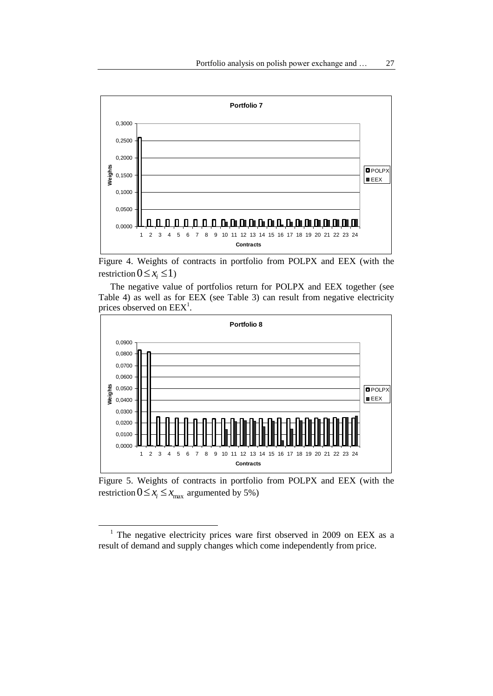

Figure 4. Weights of contracts in portfolio from POLPX and EEX (with the restriction  $0 \le x_i \le 1$ 

The negative value of portfolios return for POLPX and EEX together (see Table 4) as well as for EEX (see Table 3) can result from negative electricity prices observed on  $EEX<sup>1</sup>$ .



Figure 5. Weights of contracts in portfolio from POLPX and EEX (with the restriction  $0 \le x_i \le x_{max}$  argumented by 5%)

 $\overline{\phantom{a}}$ 

<sup>&</sup>lt;sup>1</sup> The negative electricity prices ware first observed in 2009 on EEX as a result of demand and supply changes which come independently from price.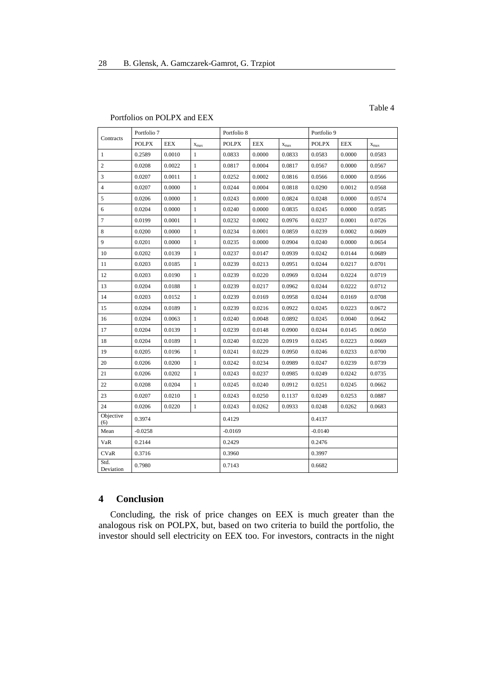### Portfolios on POLPX and EEX

| Contracts         | Portfolio 7  |            |              | Portfolio 8  |            |           | Portfolio 9  |            |           |
|-------------------|--------------|------------|--------------|--------------|------------|-----------|--------------|------------|-----------|
|                   | <b>POLPX</b> | <b>EEX</b> | $X_{max}$    | <b>POLPX</b> | <b>EEX</b> | $x_{max}$ | <b>POLPX</b> | <b>EEX</b> | $x_{max}$ |
| 1                 | 0.2589       | 0.0010     | $\mathbf{1}$ | 0.0833       | 0.0000     | 0.0833    | 0.0583       | 0.0000     | 0.0583    |
| $\overline{c}$    | 0.0208       | 0.0022     | $\mathbf{1}$ | 0.0817       | 0.0004     | 0.0817    | 0.0567       | 0.0000     | 0.0567    |
| 3                 | 0.0207       | 0.0011     | $\mathbf{1}$ | 0.0252       | 0.0002     | 0.0816    | 0.0566       | 0.0000     | 0.0566    |
| $\overline{4}$    | 0.0207       | 0.0000     | $\mathbf{1}$ | 0.0244       | 0.0004     | 0.0818    | 0.0290       | 0.0012     | 0.0568    |
| 5                 | 0.0206       | 0.0000     | $\mathbf{1}$ | 0.0243       | 0.0000     | 0.0824    | 0.0248       | 0.0000     | 0.0574    |
| 6                 | 0.0204       | 0.0000     | $\mathbf{1}$ | 0.0240       | 0.0000     | 0.0835    | 0.0245       | 0.0000     | 0.0585    |
| $\tau$            | 0.0199       | 0.0001     | $\mathbf{1}$ | 0.0232       | 0.0002     | 0.0976    | 0.0237       | 0.0001     | 0.0726    |
| 8                 | 0.0200       | 0.0000     | $\mathbf{1}$ | 0.0234       | 0.0001     | 0.0859    | 0.0239       | 0.0002     | 0.0609    |
| 9                 | 0.0201       | 0.0000     | $\mathbf{1}$ | 0.0235       | 0.0000     | 0.0904    | 0.0240       | 0.0000     | 0.0654    |
| 10                | 0.0202       | 0.0139     | $\mathbf{1}$ | 0.0237       | 0.0147     | 0.0939    | 0.0242       | 0.0144     | 0.0689    |
| 11                | 0.0203       | 0.0185     | $\mathbf{1}$ | 0.0239       | 0.0213     | 0.0951    | 0.0244       | 0.0217     | 0.0701    |
| 12                | 0.0203       | 0.0190     | $\mathbf{1}$ | 0.0239       | 0.0220     | 0.0969    | 0.0244       | 0.0224     | 0.0719    |
| 13                | 0.0204       | 0.0188     | $\mathbf{1}$ | 0.0239       | 0.0217     | 0.0962    | 0.0244       | 0.0222     | 0.0712    |
| 14                | 0.0203       | 0.0152     | $\mathbf{1}$ | 0.0239       | 0.0169     | 0.0958    | 0.0244       | 0.0169     | 0.0708    |
| 15                | 0.0204       | 0.0189     | $\mathbf{1}$ | 0.0239       | 0.0216     | 0.0922    | 0.0245       | 0.0223     | 0.0672    |
| 16                | 0.0204       | 0.0063     | $\mathbf{1}$ | 0.0240       | 0.0048     | 0.0892    | 0.0245       | 0.0040     | 0.0642    |
| 17                | 0.0204       | 0.0139     | $\mathbf{1}$ | 0.0239       | 0.0148     | 0.0900    | 0.0244       | 0.0145     | 0.0650    |
| 18                | 0.0204       | 0.0189     | $\mathbf{1}$ | 0.0240       | 0.0220     | 0.0919    | 0.0245       | 0.0223     | 0.0669    |
| 19                | 0.0205       | 0.0196     | $\mathbf{1}$ | 0.0241       | 0.0229     | 0.0950    | 0.0246       | 0.0233     | 0.0700    |
| 20                | 0.0206       | 0.0200     | $\mathbf{1}$ | 0.0242       | 0.0234     | 0.0989    | 0.0247       | 0.0239     | 0.0739    |
| 21                | 0.0206       | 0.0202     | $\mathbf{1}$ | 0.0243       | 0.0237     | 0.0985    | 0.0249       | 0.0242     | 0.0735    |
| 22                | 0.0208       | 0.0204     | $\mathbf{1}$ | 0.0245       | 0.0240     | 0.0912    | 0.0251       | 0.0245     | 0.0662    |
| 23                | 0.0207       | 0.0210     | $\mathbf{1}$ | 0.0243       | 0.0250     | 0.1137    | 0.0249       | 0.0253     | 0.0887    |
| 24                | 0.0206       | 0.0220     | $\mathbf{1}$ | 0.0243       | 0.0262     | 0.0933    | 0.0248       | 0.0262     | 0.0683    |
| Objective<br>(6)  | 0.3974       |            |              | 0.4129       |            |           | 0.4137       |            |           |
| Mean              | $-0.0258$    |            |              | $-0.0169$    |            |           | $-0.0140$    |            |           |
| VaR               | 0.2144       |            |              | 0.2429       |            |           | 0.2476       |            |           |
| <b>CVaR</b>       | 0.3716       |            |              | 0.3960       |            |           | 0.3997       |            |           |
| Std.<br>Deviation | 0.7980       |            |              | 0.7143       |            |           | 0.6682       |            |           |

### **4 Conclusion**

Concluding, the risk of price changes on EEX is much greater than the analogous risk on POLPX, but, based on two criteria to build the portfolio, the investor should sell electricity on EEX too. For investors, contracts in the night

### Table 4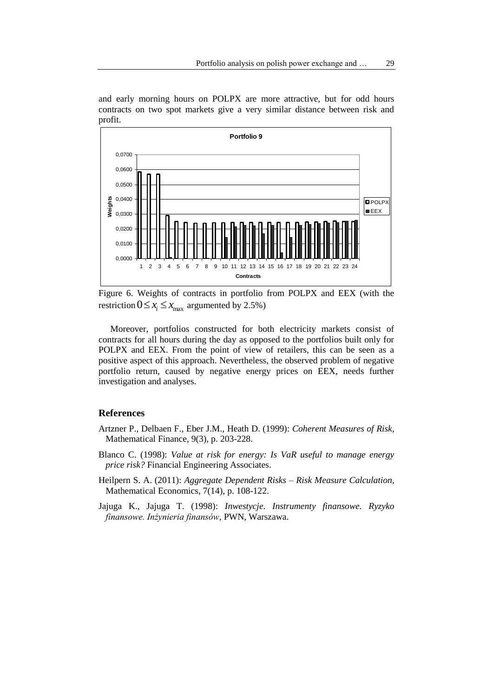and early morning hours on POLPX are more attractive, but for odd hours contracts on two spot markets give a very similar distance between risk and profit.



Figure 6. Weights of contracts in portfolio from POLPX and EEX (with the restriction  $0 \le x_i \le x_{max}$  argumented by 2.5%)

Moreover, portfolios constructed for both electricity markets consist of contracts for all hours during the day as opposed to the portfolios built only for POLPX and EEX. From the point of view of retailers, this can be seen as a positive aspect of this approach. Nevertheless, the observed problem of negative portfolio return, caused by negative energy prices on EEX, needs further investigation and analyses.

### **References**

- Artzner P., Delbaen F., Eber J.M., Heath D. (1999): *Coherent Measures of Risk,* Mathematical Finance, 9(3), p. 203-228.
- Blanco C. (1998): *Value at risk for energy: Is VaR useful to manage energy price risk?* Financial Engineering Associates.
- Heilpern S. A. (2011): *Aggregate Dependent Risks – Risk Measure Calculation,* Mathematical Economics, 7(14), p. 108-122.
- Jajuga K., Jajuga T. (1998): *Inwestycje. Instrumenty finansowe. Ryzyko finansowe. Inżynieria finansów*, PWN, Warszawa.